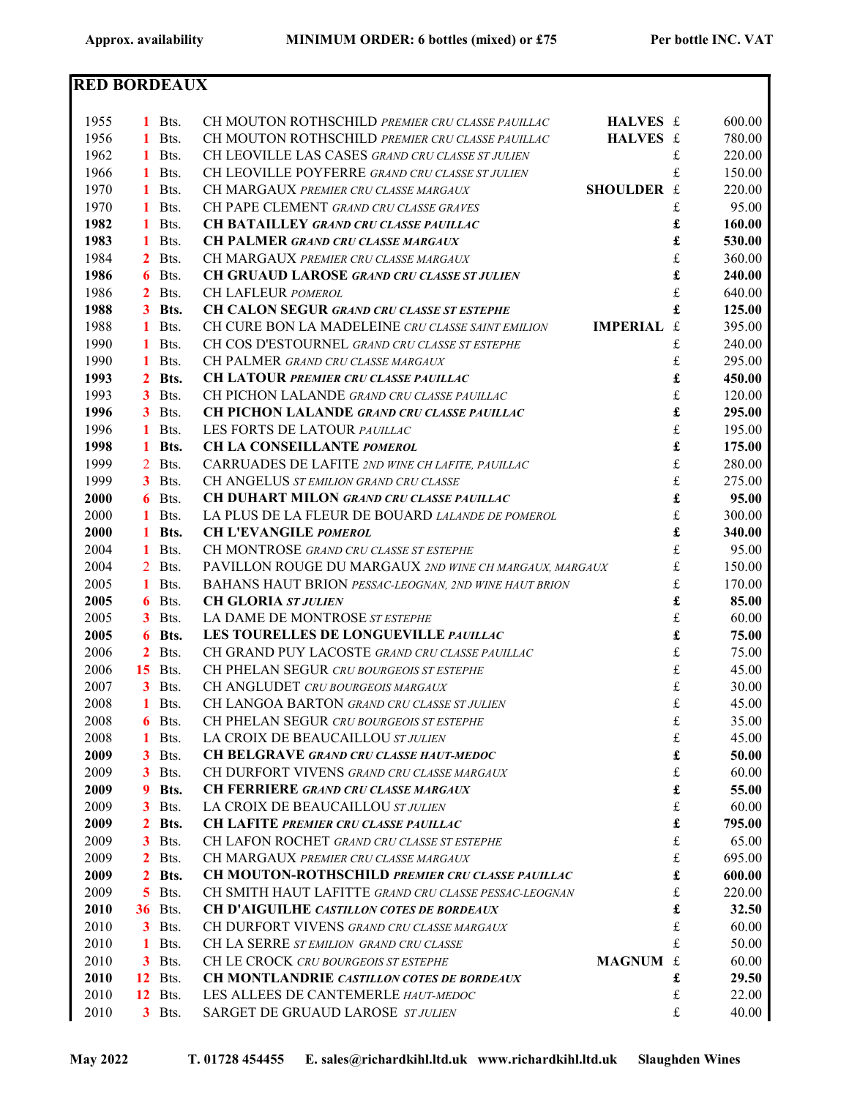| <b>RED BORDEAUX</b> |    |                |                                                                        |                      |        |
|---------------------|----|----------------|------------------------------------------------------------------------|----------------------|--------|
|                     |    |                |                                                                        |                      |        |
| 1955                |    | $1$ Bts.       | CH MOUTON ROTHSCHILD PREMIER CRU CLASSE PAUILLAC<br>HALVES £           |                      | 600.00 |
| 1956                |    | 1 Bts.         | CH MOUTON ROTHSCHILD PREMIER CRU CLASSE PAUILLAC<br>HALVES £           |                      | 780.00 |
| 1962                |    | 1 Bts.         | CH LEOVILLE LAS CASES GRAND CRU CLASSE ST JULIEN                       | £                    | 220.00 |
| 1966                |    | 1 Bts.         | CH LEOVILLE POYFERRE GRAND CRU CLASSE ST JULIEN                        | £                    | 150.00 |
| 1970                |    | 1 Bts.         | SHOULDER £<br>CH MARGAUX PREMIER CRU CLASSE MARGAUX                    |                      | 220.00 |
| 1970                |    | 1 Bts.         | CH PAPE CLEMENT GRAND CRU CLASSE GRAVES                                | £                    | 95.00  |
| 1982                |    | 1 Bts.         | <b>CH BATAILLEY GRAND CRU CLASSE PAUILLAC</b>                          | £                    | 160.00 |
| 1983                |    | 1 Bts.         | <b>CH PALMER GRAND CRU CLASSE MARGAUX</b>                              | £                    | 530.00 |
| 1984                |    | $2$ Bts.       | CH MARGAUX PREMIER CRU CLASSE MARGAUX                                  | $\pounds$            | 360.00 |
| 1986                |    | 6 Bts.         | <b>CH GRUAUD LAROSE GRAND CRU CLASSE ST JULIEN</b>                     | £                    | 240.00 |
| 1986                |    | $2$ Bts.       | CH LAFLEUR POMEROL                                                     | $\pounds$            | 640.00 |
| 1988                |    | 3 Bts.         | <b>CH CALON SEGUR GRAND CRU CLASSE ST ESTEPHE</b>                      | £                    | 125.00 |
| 1988                |    | 1 Bts.         | CH CURE BON LA MADELEINE CRU CLASSE SAINT EMILION<br><b>IMPERIAL £</b> |                      | 395.00 |
| 1990                |    | 1 Bts.         | CH COS D'ESTOURNEL GRAND CRU CLASSE ST ESTEPHE                         | £                    | 240.00 |
| 1990                |    | $1$ Bts.       | CH PALMER GRAND CRU CLASSE MARGAUX                                     | £                    | 295.00 |
| 1993                |    | 2 Bts.         | <b>CH LATOUR PREMIER CRU CLASSE PAUILLAC</b>                           | £                    | 450.00 |
| 1993                |    | $3$ Bts.       | CH PICHON LALANDE GRAND CRU CLASSE PAUILLAC                            | £                    | 120.00 |
| 1996                |    | $3$ Bts.       | <b>CH PICHON LALANDE GRAND CRU CLASSE PAUILLAC</b>                     | £                    | 295.00 |
| 1996                |    | 1 Bts.         | LES FORTS DE LATOUR PAUILLAC                                           | $\frak{L}$           | 195.00 |
| 1998                |    | 1 Bts.         | CH LA CONSEILLANTE POMEROL                                             | $\pmb{\mathfrak{L}}$ | 175.00 |
| 1999                |    | 2 Bts.         | CARRUADES DE LAFITE 2ND WINE CH LAFITE, PAUILLAC                       | $\frak{L}$           | 280.00 |
| 1999                |    | $3$ Bts.       | CH ANGELUS ST EMILION GRAND CRU CLASSE                                 | $\mathbf f$          | 275.00 |
| 2000                |    | 6 Bts.         | <b>CH DUHART MILON GRAND CRU CLASSE PAUILLAC</b>                       | £                    | 95.00  |
| 2000                |    | 1 Bts.         | LA PLUS DE LA FLEUR DE BOUARD LALANDE DE POMEROL                       | $\mathbf f$          | 300.00 |
| 2000                |    | 1 Bts.         | <b>CH L'EVANGILE POMEROL</b>                                           | £                    | 340.00 |
| 2004                |    | 1 Bts.         | CH MONTROSE GRAND CRU CLASSE ST ESTEPHE                                | $\mathbf f$          | 95.00  |
| 2004                |    | 2 Bts.         | PAVILLON ROUGE DU MARGAUX 2ND WINE CH MARGAUX, MARGAUX                 | $\mathbf f$          | 150.00 |
| 2005                |    | 1 Bts.         | <b>BAHANS HAUT BRION PESSAC-LEOGNAN, 2ND WINE HAUT BRION</b>           | $\mathbf f$          | 170.00 |
| 2005                |    | 6 Bts.         | <b>CH GLORIA ST JULIEN</b>                                             | £                    | 85.00  |
| 2005                |    | $3$ Bts.       | LA DAME DE MONTROSE ST ESTEPHE                                         | £                    | 60.00  |
| 2005                |    | 6 Bts.         | LES TOURELLES DE LONGUEVILLE PAUILLAC                                  | £                    | 75.00  |
| 2006                |    | $2$ Bts.       | CH GRAND PUY LACOSTE GRAND CRU CLASSE PAUILLAC                         | £                    | 75.00  |
| 2006                |    | <b>15</b> Bts. | CH PHELAN SEGUR CRU BOURGEOIS ST ESTEPHE                               | £                    | 45.00  |
| 2007                |    | $3$ Bts.       | CH ANGLUDET CRU BOURGEOIS MARGAUX                                      | £                    | 30.00  |
| 2008                |    | 1 Bts.         | CH LANGOA BARTON GRAND CRU CLASSE ST JULIEN                            | $\pounds$            | 45.00  |
| 2008                |    | 6 Bts.         | CH PHELAN SEGUR CRU BOURGEOIS ST ESTEPHE                               | £                    | 35.00  |
| 2008                |    | 1 Bts.         | LA CROIX DE BEAUCAILLOU ST JULIEN                                      | $\pounds$            | 45.00  |
| 2009                |    | $3$ Bts.       | <b>CH BELGRAVE GRAND CRU CLASSE HAUT-MEDOC</b>                         | £                    | 50.00  |
| 2009                |    | $3$ Bts.       | CH DURFORT VIVENS GRAND CRU CLASSE MARGAUX                             | $\pounds$            | 60.00  |
| 2009                |    | <b>9</b> Bts.  | CH FERRIERE GRAND CRU CLASSE MARGAUX                                   | £                    | 55.00  |
| 2009                |    | <b>3</b> Bts.  | LA CROIX DE BEAUCAILLOU ST JULIEN                                      | $\pounds$            | 60.00  |
| 2009                |    | 2 Bts.         | <b>CH LAFITE PREMIER CRU CLASSE PAUILLAC</b>                           | £                    | 795.00 |
| 2009                |    | $3$ Bts.       | CH LAFON ROCHET GRAND CRU CLASSE ST ESTEPHE                            | $\pounds$            | 65.00  |
| 2009                |    | <b>2</b> Bts.  | CH MARGAUX PREMIER CRU CLASSE MARGAUX                                  | £                    | 695.00 |
| 2009                |    | 2 Bts.         | <b>CH MOUTON-ROTHSCHILD PREMIER CRU CLASSE PAUILLAC</b>                | £                    | 600.00 |
| 2009                |    | $5$ Bts.       | CH SMITH HAUT LAFITTE GRAND CRU CLASSE PESSAC-LEOGNAN                  | £                    | 220.00 |
| 2010                |    | <b>36</b> Bts. | <b>CH D'AIGUILHE CASTILLON COTES DE BORDEAUX</b>                       | £                    | 32.50  |
| 2010                |    | $3$ Bts.       | CH DURFORT VIVENS GRAND CRU CLASSE MARGAUX                             | £                    | 60.00  |
| 2010                | 1. | Bts.           | CH LA SERRE ST EMILION GRAND CRU CLASSE                                |                      | 50.00  |
| 2010                |    | <b>3</b> Bts.  | CH LE CROCK CRU BOURGEOIS ST ESTEPHE<br>MAGNUM £                       |                      | 60.00  |
| 2010                |    | <b>12</b> Bts. | <b>CH MONTLANDRIE CASTILLON COTES DE BORDEAUX</b>                      | £                    | 29.50  |
| 2010                |    | <b>12</b> Bts. | LES ALLEES DE CANTEMERLE HAUT-MEDOC                                    | £                    | 22.00  |
| 2010                |    | $3$ Bts.       | SARGET DE GRUAUD LAROSE STJULIEN                                       | £                    | 40.00  |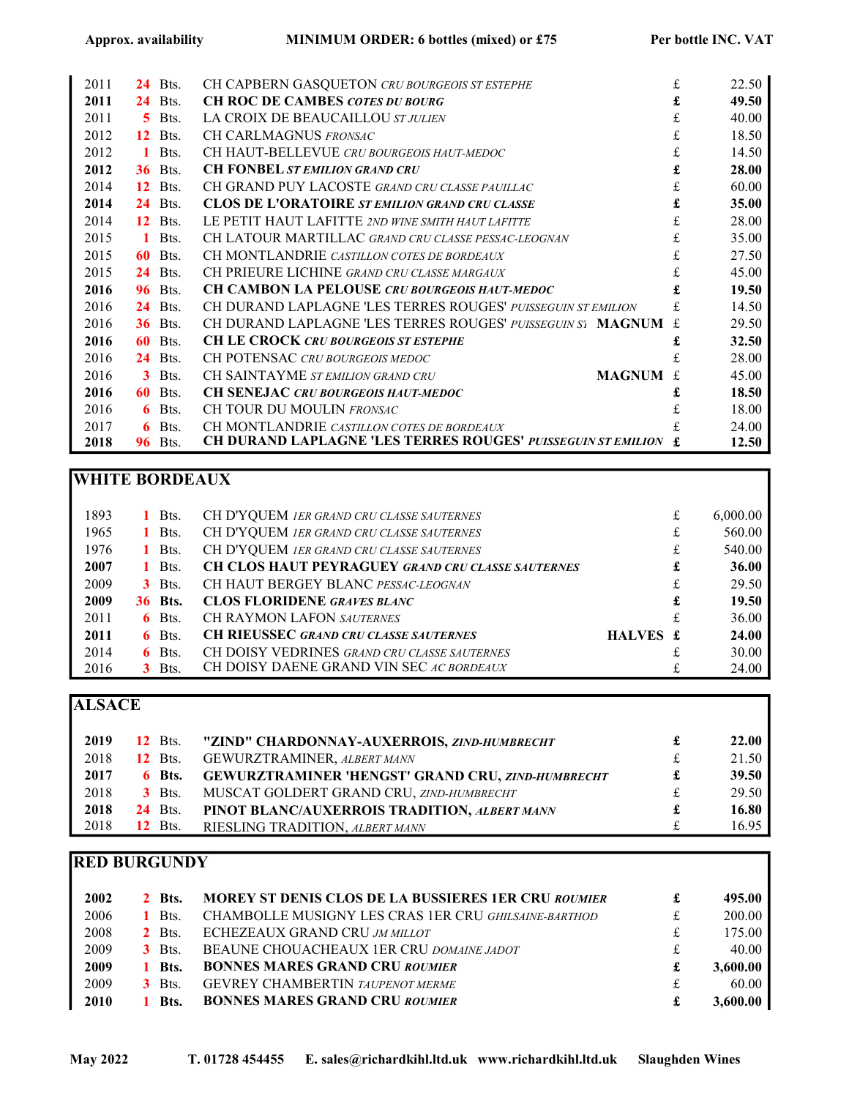| 2011 | 24 | Bts.           | CH CAPBERN GASQUETON CRU BOURGEOIS ST ESTEPHE                       | £            | 22.50 |
|------|----|----------------|---------------------------------------------------------------------|--------------|-------|
| 2011 | 24 | Bts.           | <b>CH ROC DE CAMBES COTES DU BOURG</b>                              | £            | 49.50 |
| 2011 | 5. | Bts.           | LA CROIX DE BEAUCAILLOU ST JULIEN                                   | £            | 40.00 |
| 2012 | 12 | Bts.           | CH CARLMAGNUS FRONSAC                                               | £            | 18.50 |
| 2012 | 1. | Bts.           | CH HAUT-BELLEVUE CRU BOURGEOIS HAUT-MEDOC                           | £            | 14.50 |
| 2012 |    | <b>36</b> Bts. | <b>CH FONBEL ST EMILION GRAND CRU</b>                               |              | 28.00 |
| 2014 | 12 | Bts.           | CH GRAND PUY LACOSTE GRAND CRU CLASSE PAUILLAC                      | £            | 60.00 |
| 2014 | 24 | Bts.           | <b>CLOS DE L'ORATOIRE STEMILION GRAND CRU CLASSE</b>                | £            | 35.00 |
| 2014 |    | $12$ Bts.      | LE PETIT HAUT LAFITTE 2ND WINE SMITH HAUT LAFITTE                   | £            | 28.00 |
| 2015 | 1  | Bts.           | CH LATOUR MARTILLAC GRAND CRU CLASSE PESSAC-LEOGNAN                 | £            | 35.00 |
| 2015 | 60 | Bts.           | CH MONTLANDRIE CASTILLON COTES DE BORDEAUX                          | £            | 27.50 |
| 2015 | 24 | Bts.           | CH PRIEURE LICHINE GRAND CRU CLASSE MARGAUX                         | £            | 45.00 |
| 2016 | 96 | Bts.           | CH CAMBON LA PELOUSE CRU BOURGEOIS HAUT-MEDOC                       |              | 19.50 |
| 2016 | 24 | Bts.           | CH DURAND LAPLAGNE 'LES TERRES ROUGES' PUISSEGUIN ST EMILION        | £.           | 14.50 |
| 2016 |    | <b>36</b> Bts. | CH DURAND LAPLAGNE 'LES TERRES ROUGES' PUISSEGUIN S1 MAGNUM         |              | 29.50 |
| 2016 | 60 | Bts.           | <b>CH LE CROCK CRU BOURGEOIS ST ESTEPHE</b>                         |              | 32.50 |
| 2016 | 24 | Bts.           | CH POTENSAC CRU BOURGEOIS MEDOC                                     | £            | 28.00 |
| 2016 |    | $3$ Bts.       | CH SAINTAYME ST EMILION GRAND CRU<br><b>MAGNUM</b>                  | $\mathbf{f}$ | 45.00 |
| 2016 | 60 | Bts.           | <b>CH SENEJAC CRU BOURGEOIS HAUT-MEDOC</b>                          | £            | 18.50 |
| 2016 | 6  | Bts.           | CH TOUR DU MOULIN FRONSAC                                           |              | 18.00 |
| 2017 | 6  | Bts.           | CH MONTLANDRIE CASTILLON COTES DE BORDEAUX                          |              | 24.00 |
| 2018 | 96 | Bts.           | <b>CH DURAND LAPLAGNE 'LES TERRES ROUGES' PUISSEGUIN ST EMILION</b> |              | 12.50 |

## WHITE BORDEAUX

| 1893 |                |          |                                                     |          | £ |          |
|------|----------------|----------|-----------------------------------------------------|----------|---|----------|
|      |                | 1 Bts.   | CH D'YQUEM IER GRAND CRU CLASSE SAUTERNES           |          |   | 6,000.00 |
| 1965 |                | 1 Bts.   | CH D'YQUEM 1ER GRAND CRU CLASSE SAUTERNES           |          | £ | 560.00   |
| 1976 |                | 1 Bts.   | CH D'YQUEM IER GRAND CRU CLASSE SAUTERNES           |          | £ | 540.00   |
| 2007 |                | Bts.     | CH CLOS HAUT PEYRAGUEY GRAND CRU CLASSE SAUTERNES   |          | £ | 36.00    |
| 2009 |                | $3$ Bts. | CH HAUT BERGEY BLANC PESSAC-LEOGNAN                 |          | £ | 29.50    |
| 2009 | <b>36 Bts.</b> |          | <b>CLOS FLORIDENE GRAVES BLANC</b>                  |          | £ | 19.50    |
| 2011 |                | $6$ Bts. | <b>CH RAYMON LAFON SAUTERNES</b>                    |          | £ | 36.00    |
| 2011 |                | $6$ Bts. | <b>CH RIEUSSEC GRAND CRU CLASSE SAUTERNES</b>       | HALVES £ |   | 24.00    |
| 2014 |                | $6$ Bts. | <b>CH DOISY VEDRINES GRAND CRU CLASSE SAUTERNES</b> |          |   | 30.00    |
| 2016 |                | $3$ Bts. | CH DOISY DAENE GRAND VIN SEC AC BORDEAUX            |          |   | 24.00    |

## ALSACE

| 2019 | $12$ Bts.      | "ZIND" CHARDONNAY-AUXERROIS, ZIND-HUMBRECHT              |   | 22.00 |
|------|----------------|----------------------------------------------------------|---|-------|
| 2018 | <b>12</b> Bts. | GEWURZTRAMINER, ALBERT MANN                              | £ | 21.50 |
| 2017 | 6 Bts.         | <b>GEWURZTRAMINER 'HENGST' GRAND CRU, ZIND-HUMBRECHT</b> | £ | 39.50 |
| 2018 | $3$ Bts.       | MUSCAT GOLDERT GRAND CRU, ZIND-HUMBRECHT                 | £ | 29.50 |
| 2018 | <b>24</b> Bts. | PINOT BLANC/AUXERROIS TRADITION, ALBERT MANN             | £ | 16.80 |
| 2018 | <b>12</b> Bts. | RIESLING TRADITION, ALBERT MANN                          | £ | 16.95 |

## RED BURGUNDY

| 2002 | <b>2</b> Bts. | <b>MOREY ST DENIS CLOS DE LA BUSSIERES 1ER CRU ROUMIER</b> |     | 495.00   |
|------|---------------|------------------------------------------------------------|-----|----------|
| 2006 | Bts.          | CHAMBOLLE MUSIGNY LES CRAS 1ER CRU GHILSAINE-BARTHOD       | $+$ | 200.00   |
| 2008 | $2$ Bts.      | ECHEZEAUX GRAND CRU JM MILLOT                              | f   | 175.00   |
| 2009 | $3$ Bts.      | BEAUNE CHOUACHEAUX 1ER CRU DOMAINE JADOT                   | ÷.  | 40.00    |
| 2009 | Bts.          | <b>BONNES MARES GRAND CRU ROUMIER</b>                      |     | 3,600.00 |
| 2009 | $3$ Bts.      | <b>GEVREY CHAMBERTIN TAUPENOT MERME</b>                    | ÷.  | 60.00    |
| 2010 | <b>Bts.</b>   | <b>BONNES MARES GRAND CRU ROUMIER</b>                      |     | 3,600.00 |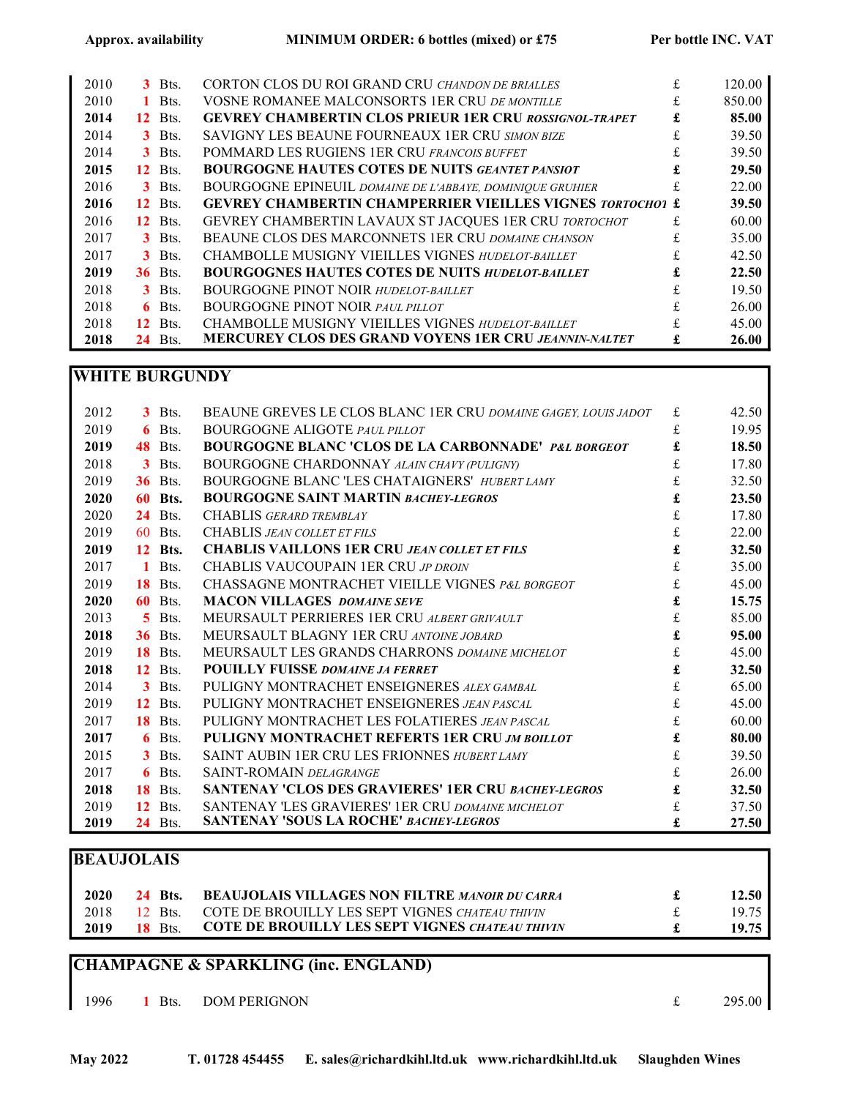| 2010 |    | $3$ Bts.  | CORTON CLOS DU ROI GRAND CRU CHANDON DE BRIALLES                 | £  | 120.00 |
|------|----|-----------|------------------------------------------------------------------|----|--------|
| 2010 |    | 1 Bts.    | VOSNE ROMANEE MALCONSORTS 1ER CRU DE MONTILLE                    |    | 850.00 |
| 2014 | 12 | Bts.      | <b>GEVREY CHAMBERTIN CLOS PRIEUR 1ER CRU ROSSIGNOL-TRAPET</b>    | £  | 85.00  |
| 2014 |    | $3$ Bts.  | SAVIGNY LES BEAUNE FOURNEAUX 1ER CRU SIMON BIZE                  | £. | 39.50  |
| 2014 |    | $3$ Bts.  | POMMARD LES RUGIENS 1ER CRU FRANCOIS BUFFET                      | £  | 39.50  |
| 2015 | 12 | Bts.      | <b>BOURGOGNE HAUTES COTES DE NUITS GEANTET PANSIOT</b>           |    | 29.50  |
| 2016 |    | $3$ Bts.  | BOURGOGNE EPINEUIL DOMAINE DE L'ABBAYE, DOMINIQUE GRUHIER        |    | 22.00  |
| 2016 |    | $12$ Bts. | <b>GEVREY CHAMBERTIN CHAMPERRIER VIEILLES VIGNES TORTOCHO1 £</b> |    | 39.50  |
| 2016 | 12 | Bts.      | GEVREY CHAMBERTIN LAVAUX ST JACQUES 1ER CRU TORTOCHOT            | £  | 60.00  |
| 2017 |    | $3$ Bts.  | BEAUNE CLOS DES MARCONNETS 1ER CRU DOMAINE CHANSON               |    | 35.00  |
| 2017 |    | $3$ Bts.  | CHAMBOLLE MUSIGNY VIEILLES VIGNES HUDELOT-BAILLET                | £  | 42.50  |
| 2019 |    | $36$ Bts. | <b>BOURGOGNES HAUTES COTES DE NUITS HUDELOT-BAILLET</b>          |    | 22.50  |
| 2018 |    | $3$ Bts.  | <b>BOURGOGNE PINOT NOIR HUDELOT-BAILLET</b>                      |    | 19.50  |
| 2018 | 6. | Bts.      | <b>BOURGOGNE PINOT NOIR PAUL PILLOT</b>                          | £  | 26.00  |
| 2018 | 12 | Bts.      | CHAMBOLLE MUSIGNY VIEILLES VIGNES HUDELOT-BAILLET                |    | 45.00  |
| 2018 | 24 | Bts.      | <b>MERCUREY CLOS DES GRAND VOYENS 1ER CRU JEANNIN-NALTET</b>     | £  | 26.00  |

#### WHITE BURGUNDY

| 2012 |              | $3$ Bts.       | BEAUNE GREVES LE CLOS BLANC 1ER CRU DOMAINE GAGEY, LOUIS JADOT | £ | 42.50 |
|------|--------------|----------------|----------------------------------------------------------------|---|-------|
| 2019 | 6            | Bts.           | <b>BOURGOGNE ALIGOTE PAUL PILLOT</b>                           | £ | 19.95 |
| 2019 | 48           | Bts.           | <b>BOURGOGNE BLANC 'CLOS DE LA CARBONNADE' P&amp;L BORGEOT</b> | £ | 18.50 |
| 2018 | 3            | Bts.           | <b>BOURGOGNE CHARDONNAY ALAIN CHAVY (PULIGNY)</b>              | £ | 17.80 |
| 2019 | 36           | Bts.           | BOURGOGNE BLANC 'LES CHATAIGNERS' HUBERT LAMY                  | £ | 32.50 |
| 2020 | 60           | Bts.           | <b>BOURGOGNE SAINT MARTIN BACHEY-LEGROS</b>                    | £ | 23.50 |
| 2020 | 24           | Bts.           | CHABLIS GERARD TREMBLAY                                        | £ | 17.80 |
| 2019 | 60           | Bts.           | CHABLIS JEAN COLLET ET FILS                                    | £ | 22.00 |
| 2019 | 12           | Bts.           | <b>CHABLIS VAILLONS 1ER CRU JEAN COLLET ET FILS</b>            | £ | 32.50 |
| 2017 | $\mathbf{1}$ | Bts.           | CHABLIS VAUCOUPAIN 1ER CRU JP DROIN                            | £ | 35.00 |
| 2019 | 18           | Bts.           | CHASSAGNE MONTRACHET VIEILLE VIGNES P&L BORGEOT                | £ | 45.00 |
| 2020 | 60           | Bts.           | <b>MACON VILLAGES DOMAINE SEVE</b>                             | £ | 15.75 |
| 2013 | 5.           | Bts.           | MEURSAULT PERRIERES 1ER CRU ALBERT GRIVAULT                    | £ | 85.00 |
| 2018 | 36           | Bts.           | MEURSAULT BLAGNY 1ER CRU ANTOINE JOBARD                        | £ | 95.00 |
| 2019 | 18           | Bts.           | MEURSAULT LES GRANDS CHARRONS DOMAINE MICHELOT                 | £ | 45.00 |
| 2018 | 12           | Bts.           | <b>POUILLY FUISSE DOMAINE JA FERRET</b>                        |   | 32.50 |
| 2014 | 3            | Bts.           | PULIGNY MONTRACHET ENSEIGNERES ALEX GAMBAL                     | £ | 65.00 |
| 2019 | 12           | Bts.           | PULIGNY MONTRACHET ENSEIGNERES JEAN PASCAL                     | £ | 45.00 |
| 2017 | 18           | Bts.           | PULIGNY MONTRACHET LES FOLATIERES JEAN PASCAL                  | £ | 60.00 |
| 2017 | 6            | Bts.           | PULIGNY MONTRACHET REFERTS 1ER CRU JM BOILLOT                  | £ | 80.00 |
| 2015 | 3            | Bts.           | SAINT AUBIN 1ER CRU LES FRIONNES HUBERT LAMY                   | £ | 39.50 |
| 2017 | 6            | Bts.           | SAINT-ROMAIN DELAGRANGE                                        | £ | 26.00 |
| 2018 | 18           | Bts.           | <b>SANTENAY 'CLOS DES GRAVIERES' 1ER CRU BACHEY-LEGROS</b>     |   | 32.50 |
| 2019 | 12           | Bts.           | <b>SANTENAY 'LES GRAVIERES' 1ER CRU DOMAINE MICHELOT</b>       |   | 37.50 |
| 2019 |              | <b>24</b> Bts. | <b>SANTENAY 'SOUS LA ROCHE' BACHEY-LEGROS</b>                  |   | 27.50 |

## BEAUJOLAIS

| 2020 | <b>24 Bts.</b> | <b>BEAUJOLAIS VILLAGES NON FILTRE MANOIR DU CARRA</b>  | 12.50              |
|------|----------------|--------------------------------------------------------|--------------------|
| 2018 | 12 Bts.        | COTE DE BROUILLY LES SEPT VIGNES CHATEAU THIVIN        | 19.75              |
| 2019 | <b>18</b> Bts. | <b>COTE DE BROUILLY LES SEPT VIGNES CHATEAU THIVIN</b> | 19.75 <sub>1</sub> |

## CHAMPAGNE & SPARKLING (inc. ENGLAND)

1996 1 Bts. DOM PERIGNON  $\epsilon$  295.00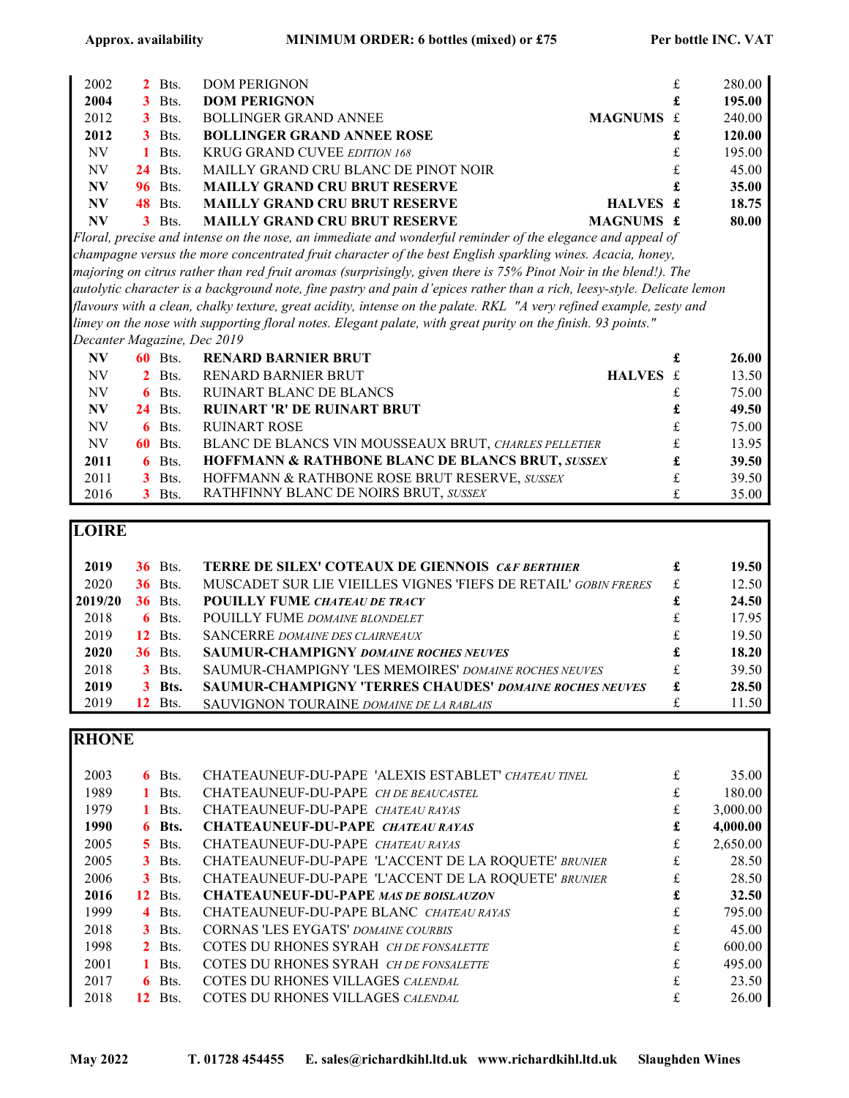| 2002      | $2$ Bts.       | <b>DOM PERIGNON</b>                  |           | £ | 280.00 |
|-----------|----------------|--------------------------------------|-----------|---|--------|
| 2004      | $3$ Bts.       | <b>DOM PERIGNON</b>                  |           | £ | 195.00 |
| 2012      | $3$ Bts.       | <b>BOLLINGER GRAND ANNEE</b>         | MAGNUMS £ |   | 240.00 |
| 2012      | $3$ Bts.       | <b>BOLLINGER GRAND ANNEE ROSE</b>    |           | £ | 120.00 |
| NV        | $1$ Bts.       | <b>KRUG GRAND CUVEE EDITION 168</b>  |           | £ | 195.00 |
| <b>NV</b> | $24$ Bts.      | MAILLY GRAND CRU BLANC DE PINOT NOIR |           | £ | 45.00  |
| <b>NV</b> | <b>96</b> Bts. | <b>MAILLY GRAND CRU BRUT RESERVE</b> |           | £ | 35.00  |
| <b>NV</b> | <b>48</b> Bts. | <b>MAILLY GRAND CRU BRUT RESERVE</b> | HALVES £  |   | 18.75  |
| <b>NV</b> | $3$ Bts.       | <b>MAILLY GRAND CRU BRUT RESERVE</b> | MAGNUMS £ |   | 80.00  |

Floral, precise and intense on the nose, an immediate and wonderful reminder of the elegance and appeal of champagne versus the more concentrated fruit character of the best English sparkling wines. Acacia, honey, majoring on citrus rather than red fruit aromas (surprisingly, given there is 75% Pinot Noir in the blend!). The autolytic character is a background note, fine pastry and pain d'epices rather than a rich, leesy-style. Delicate lemon flavours with a clean, chalky texture, great acidity, intense on the palate. RKL "A very refined example, zesty and limey on the nose with supporting floral notes. Elegant palate, with great purity on the finish. 93 points." Decanter Magazine, Dec 2019

| <b>NV</b> | <b>60</b> Bts. | <b>RENARD BARNIER BRUT</b>                                  |          | £ | 26.00 |
|-----------|----------------|-------------------------------------------------------------|----------|---|-------|
| NV        | $2$ Bts.       | <b>RENARD BARNIER BRUT</b>                                  | HALVES £ |   | 13.50 |
| NV        | $6$ Bts.       | <b>RUINART BLANC DE BLANCS</b>                              |          | £ | 75.00 |
| <b>NV</b> | <b>24</b> Bts. | <b>RUINART 'R' DE RUINART BRUT</b>                          |          | £ | 49.50 |
| NV        | $6$ Bts.       | <b>RUINART ROSE</b>                                         |          | £ | 75.00 |
| NV        | <b>60</b> Bts. | BLANC DE BLANCS VIN MOUSSEAUX BRUT, CHARLES PELLETIER       |          | £ | 13.95 |
| 2011      | $6$ Bts.       | <b>HOFFMANN &amp; RATHBONE BLANC DE BLANCS BRUT, SUSSEX</b> |          | £ | 39.50 |
| 2011      | $3$ Bts.       | HOFFMANN & RATHBONE ROSE BRUT RESERVE, SUSSEX               |          | £ | 39.50 |
| 2016      | $3$ Bts.       | RATHFINNY BLANC DE NOIRS BRUT, SUSSEX                       |          | £ | 35.00 |

### **LOIRE**

| 2019    | <b>36</b> Bts. | <b>TERRE DE SILEX' COTEAUX DE GIENNOIS CAF BERTHIER</b>         |   | 19.50 |
|---------|----------------|-----------------------------------------------------------------|---|-------|
| 2020    | <b>36</b> Bts. | MUSCADET SUR LIE VIEILLES VIGNES 'FIEFS DE RETAIL' GOBIN FRERES | £ | 12.50 |
| 2019/20 | <b>36</b> Bts. | <b>POUILLY FUME CHATEAU DE TRACY</b>                            |   | 24.50 |
| 2018    | $6$ Bts.       | <b>POUILLY FUME DOMAINE BLONDELET</b>                           | £ | 17.95 |
| 2019    | <b>12</b> Bts. | <b>SANCERRE DOMAINE DES CLAIRNEAUX</b>                          | £ | 19.50 |
| 2020    | <b>36</b> Bts. | <b>SAUMUR-CHAMPIGNY DOMAINE ROCHES NEUVES</b>                   | £ | 18.20 |
| 2018    | $3$ Bts.       | SAUMUR-CHAMPIGNY 'LES MEMOIRES' DOMAINE ROCHES NEUVES           | £ | 39.50 |
| 2019    | <b>3</b> Bts.  | SAUMUR-CHAMPIGNY 'TERRES CHAUDES' DOMAINE ROCHES NEUVES         | £ | 28.50 |
| 2019    | <b>12</b> Bts. | SAUVIGNON TOURAINE DOMAINE DE LA RABLAIS                        |   | 11.50 |

## **RHONE**

| 2003 | $6$ Bts.            | CHATEAUNEUF-DU-PAPE 'ALEXIS ESTABLET' CHATEAU TINEL  | £  | 35.00    |
|------|---------------------|------------------------------------------------------|----|----------|
| 1989 | 1 Bts.              | CHATEAUNEUF-DU-PAPE CH DE BEAUCASTEL                 | £  | 180.00   |
| 1979 | 1 Bts.              | CHATEAUNEUF-DU-PAPE CHATEAU RAYAS                    | £  | 3,000.00 |
| 1990 | 6 Bts.              | CHATEAUNEUF-DU-PAPE CHATEAU RAYAS                    | £  | 4,000.00 |
| 2005 | $\overline{5}$ Bts. | CHATEAUNEUF-DU-PAPE CHATEAU RAYAS                    | £  | 2,650.00 |
| 2005 | $3$ Bts.            | CHATEAUNEUF-DU-PAPE 'L'ACCENT DE LA ROQUETE' BRUNIER | £  | 28.50    |
| 2006 | $3$ Bts.            | CHATEAUNEUF-DU-PAPE 'L'ACCENT DE LA ROQUETE' BRUNIER | £  | 28.50    |
| 2016 | Bts.<br>12          | <b>CHATEAUNEUF-DU-PAPE MAS DE BOISLAUZON</b>         | £  | 32.50    |
| 1999 | 4 Bts.              | CHATEAUNEUF-DU-PAPE BLANC CHATEAU RAYAS              | £  | 795.00   |
| 2018 | $3$ Bts.            | CORNAS 'LES EYGATS' DOMAINE COURBIS                  | £  | 45.00    |
| 1998 | $2$ Bts.            | COTES DU RHONES SYRAH CH DE FONSALETTE               | £. | 600.00   |
| 2001 | $1$ Bts.            | COTES DU RHONES SYRAH CH DE FONSALETTE               | £  | 495.00   |
| 2017 | Bts.<br>6.          | <b>COTES DU RHONES VILLAGES CALENDAL</b>             | £  | 23.50    |
| 2018 | Bts.<br>12          | COTES DU RHONES VILLAGES CALENDAL                    |    | 26.00    |
|      |                     |                                                      |    |          |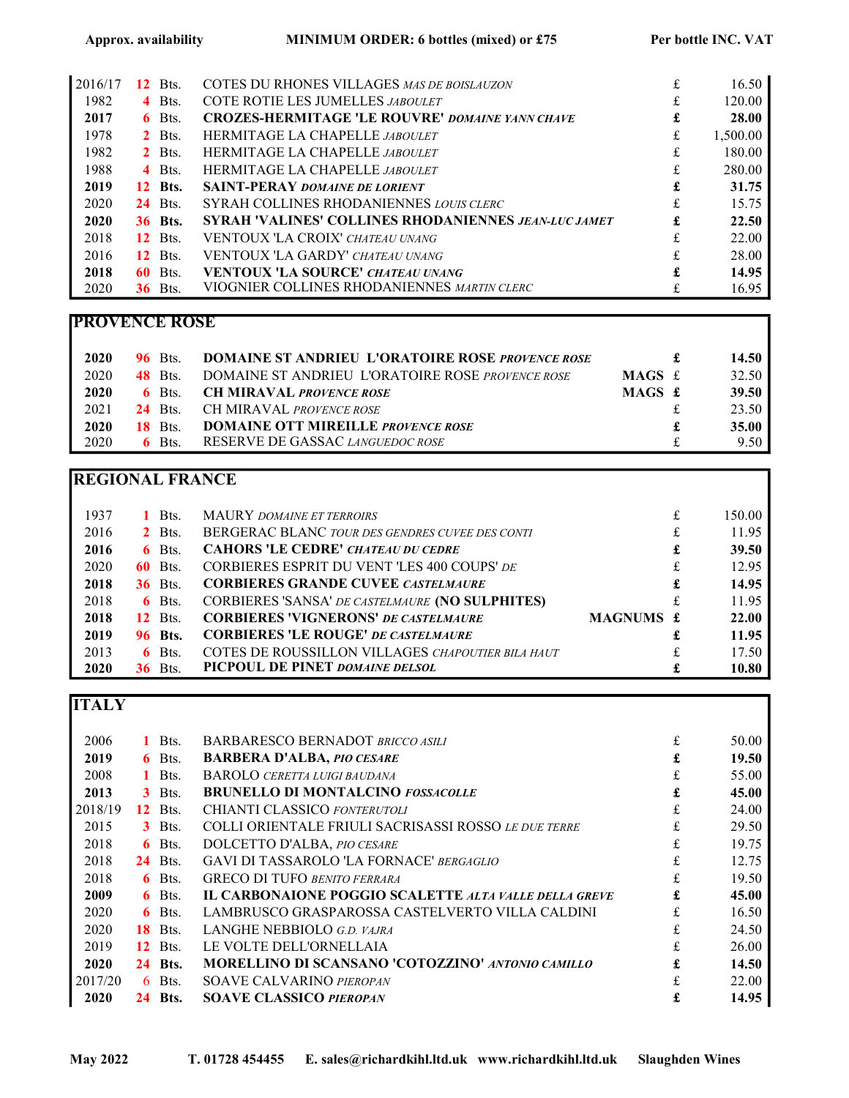| 2016/17 | 12  | Bts.           | COTES DU RHONES VILLAGES MAS DE BOISLAUZON                  | £ | 16.50    |
|---------|-----|----------------|-------------------------------------------------------------|---|----------|
| 1982    |     | 4 Bts.         | COTE ROTIE LES JUMELLES JABOULET                            |   | 120.00   |
| 2017    | 6.  | Bts.           | <b>CROZES-HERMITAGE 'LE ROUVRE' DOMAINE YANN CHAVE</b>      | £ | 28.00    |
| 1978    |     | $2$ Bts.       | <b>HERMITAGE LA CHAPELLE JABOULET</b>                       | £ | 1.500.00 |
| 1982    |     | $2$ Bts.       | HERMITAGE LA CHAPELLE JABOULET                              | £ | 180.00   |
| 1988    |     | 4 Bts.         | HERMITAGE LA CHAPELLE JABOULET                              | £ | 280.00   |
| 2019    |     | <b>12</b> Bts. | <b>SAINT-PERAY DOMAINE DE LORIENT</b>                       | £ | 31.75    |
| 2020    |     | $24$ Bts.      | SYRAH COLLINES RHODANIENNES LOUIS CLERC                     | £ | 15.75    |
| 2020    |     | <b>36 Bts.</b> | <b>SYRAH 'VALINES' COLLINES RHODANIENNES JEAN-LUC JAMET</b> | £ | 22.50    |
| 2018    |     | <b>12</b> Bts. | <b>VENTOUX 'LA CROIX' CHATEAU UNANG</b>                     | £ | 22.00    |
| 2016    | 12  | Bts.           | <b>VENTOUX 'LA GARDY' CHATEAU UNANG</b>                     | £ | 28.00    |
| 2018    | 60- | Bts.           | <b>VENTOUX 'LA SOURCE' CHATEAU UNANG</b>                    | £ | 14.95    |
| 2020    | 36. | Bts.           | VIOGNIER COLLINES RHODANIENNES MARTIN CLERC                 |   | 16.95    |

### PROVENCE ROSE

| 2020 | <b>96</b> Bts. | <b>DOMAINE ST ANDRIEU L'ORATOIRE ROSE PROVENCE ROSE</b> |          |   | 14.50 |
|------|----------------|---------------------------------------------------------|----------|---|-------|
| 2020 | <b>48</b> Bts. | DOMAINE ST ANDRIEU L'ORATOIRE ROSE PROVENCE ROSE        | MAGS $f$ |   | 32.50 |
| 2020 | $6$ Bts.       | <b>CH MIRAVAL PROVENCE ROSE</b>                         | MAGS £   |   | 39.50 |
| 2021 | <b>24</b> Bts. | CH MIRAVAL PROVENCE ROSE                                |          |   | 23.50 |
| 2020 | <b>18</b> Bts. | <b>DOMAINE OTT MIREILLE PROVENCE ROSE</b>               |          | £ | 35.00 |
| 2020 | $6$ Bts.       | RESERVE DE GASSAC LANGUEDOC ROSE                        |          |   | 9.50  |

## REGIONAL FRANCE

| 1937 |    | Bts.           | <b>MAURY DOMAINE ET TERROIRS</b>                  |           | £ | 150.00 |
|------|----|----------------|---------------------------------------------------|-----------|---|--------|
| 2016 |    | $2$ Bts.       | BERGERAC BLANC TOUR DES GENDRES CUVEE DES CONTI   |           | £ | 11.95  |
| 2016 |    | $6$ Bts.       | <b>CAHORS 'LE CEDRE' CHATEAU DU CEDRE</b>         |           | £ | 39.50  |
| 2020 | 60 | Bts.           | CORBIERES ESPRIT DU VENT 'LES 400 COUPS' DE       |           | £ | 12.95  |
| 2018 |    | <b>36</b> Bts. | <b>CORBIERES GRANDE CUVEE CASTELMAURE</b>         |           | £ | 14.95  |
| 2018 |    | $6$ Bts.       | CORBIERES 'SANSA' DE CASTELMAURE (NO SULPHITES)   |           | £ | 11.95  |
| 2018 |    | <b>12</b> Bts. | <b>CORBIERES 'VIGNERONS' DE CASTELMAURE</b>       | MAGNUMS £ |   | 22.00  |
| 2019 |    | <b>96 Bts.</b> | <b>CORBIERES 'LE ROUGE' DE CASTELMAURE</b>        |           |   | 11.95  |
| 2013 |    | $6$ Bts.       | COTES DE ROUSSILLON VILLAGES CHAPOUTIER BILA HAUT |           | £ | 17.50  |
| 2020 |    | <b>36</b> Bts. | PICPOUL DE PINET DOMAINE DELSOL                   |           |   | 10.80  |

# **ITALY**

| 2006    |    | Bts. | BARBARESCO BERNADOT BRICCO ASILI                             | £ | 50.00 |
|---------|----|------|--------------------------------------------------------------|---|-------|
| 2019    | 6. | Bts. | <b>BARBERA D'ALBA, PIO CESARE</b>                            | £ | 19.50 |
| 2008    | 1. | Bts. | <b>BAROLO CERETTA LUIGI BAUDANA</b>                          | £ | 55.00 |
| 2013    | 3  | Bts. | <b>BRUNELLO DI MONTALCINO FOSSACOLLE</b>                     | £ | 45.00 |
| 2018/19 | 12 | Bts. | CHIANTI CLASSICO FONTERUTOLI                                 |   | 24.00 |
| 2015    | 3  | Bts. | COLLI ORIENTALE FRIULI SACRISASSI ROSSO LE DUE TERRE         | £ | 29.50 |
| 2018    | 6. | Bts. | DOLCETTO D'ALBA, PIO CESARE                                  |   | 19.75 |
| 2018    | 24 | Bts. | <b>GAVI DI TASSAROLO 'LA FORNACE' BERGAGLIO</b>              | £ | 12.75 |
| 2018    | 6. | Bts. | <b>GRECO DI TUFO BENITO FERRARA</b>                          |   | 19.50 |
| 2009    | 6. | Bts. | <b>IL CARBONAIONE POGGIO SCALETTE ALTA VALLE DELLA GREVE</b> | £ | 45.00 |
| 2020    | 6. | Bts. | LAMBRUSCO GRASPAROSSA CASTELVERTO VILLA CALDINI              |   | 16.50 |
| 2020    | 18 | Bts. | LANGHE NEBBIOLO G.D. VAJRA                                   | £ | 24.50 |
| 2019    | 12 | Bts. | LE VOLTE DELL'ORNELLAIA                                      |   | 26.00 |
| 2020    | 24 | Bts. | MORELLINO DI SCANSANO 'COTOZZINO' ANTONIO CAMILLO            | £ | 14.50 |
| 2017/20 | 6. | Bts. | <b>SOAVE CALVARINO PIEROPAN</b>                              | £ | 22.00 |
| 2020    | 24 | Bts. | <b>SOAVE CLASSICO PIEROPAN</b>                               |   | 14.95 |
|         |    |      |                                                              |   |       |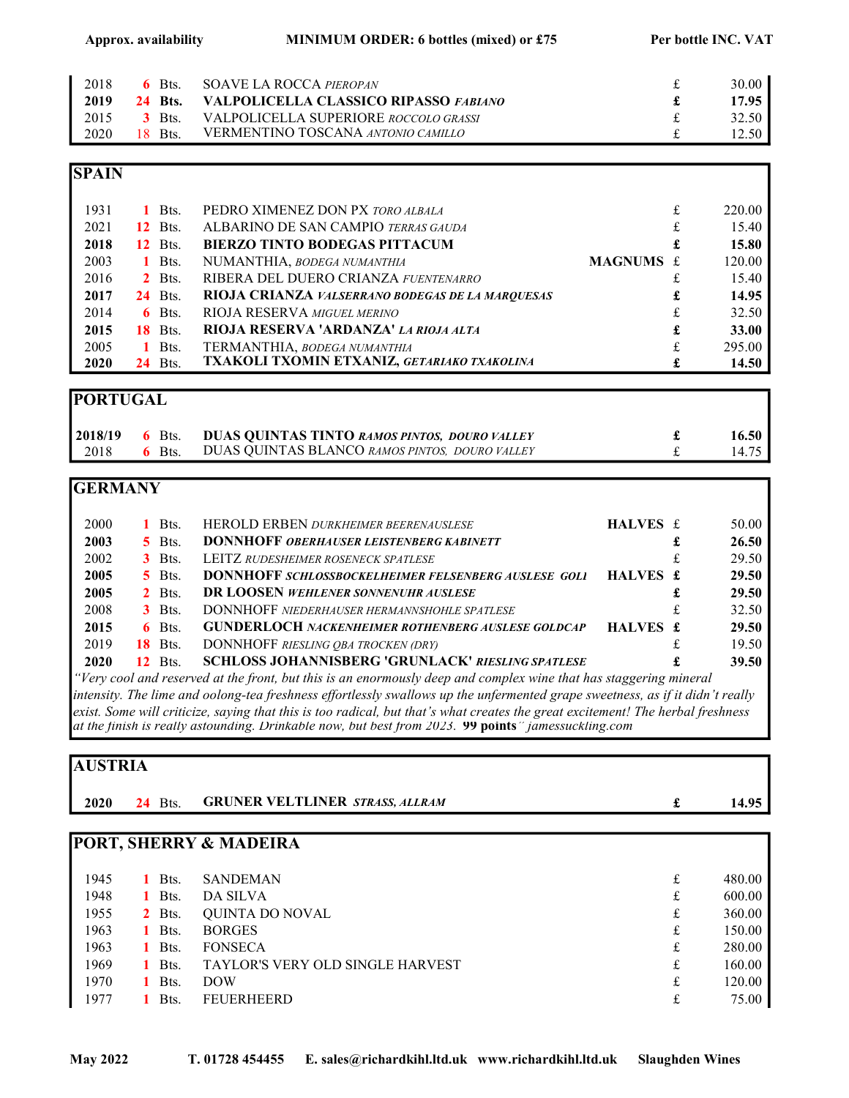#### Approx. availability MINIMUM ORDER: 6 bottles (mixed) or £75 Per bottle INC. VAT

| 2018 | $6$ Bts.       | SOAVE LA ROCCA <i>PIEROPAN</i>            | 30.00 |
|------|----------------|-------------------------------------------|-------|
| 2019 | <b>24 Bts.</b> | VALPOLICELLA CLASSICO RIPASSO FABIANO     | 17.95 |
| 2015 | <b>3</b> Bts.  | VALPOLICELLA SUPERIORE ROCCOLO GRASSI     | 32.50 |
| 2020 | $18$ Bts.      | <b>VERMENTINO TOSCANA ANTONIO CAMILLO</b> | 12.50 |

#### **SPAIN**

| 1931 | $1$ Bts.       | PEDRO XIMENEZ DON PX TORO ALBALA                 |           | £ | 220.00 |
|------|----------------|--------------------------------------------------|-----------|---|--------|
| 2021 | <b>12</b> Bts. | ALBARINO DE SAN CAMPIO TERRAS GAUDA              |           | £ | 15.40  |
| 2018 | <b>12</b> Bts. | <b>BIERZO TINTO BODEGAS PITTACUM</b>             |           | £ | 15.80  |
| 2003 | 1 Bts.         | NUMANTHIA, BODEGA NUMANTHIA                      | MAGNUMS £ |   | 120.00 |
| 2016 | $2$ Bts.       | RIBERA DEL DUERO CRIANZA FUENTENARRO             |           |   | 15.40  |
| 2017 | <b>24</b> Bts. | RIOJA CRIANZA VALSERRANO BODEGAS DE LA MARQUESAS |           | £ | 14.95  |
| 2014 | $6$ Bts.       | <b>RIOJA RESERVA MIGUEL MERINO</b>               |           | £ | 32.50  |
| 2015 | <b>18</b> Bts. | RIOJA RESERVA 'ARDANZA' LA RIOJA ALTA            |           | £ | 33.00  |
| 2005 | $1$ Bts.       | TERMANTHIA, BODEGA NUMANTHIA                     |           | £ | 295.00 |
| 2020 | <b>24</b> Bts. | TXAKOLI TXOMIN ETXANIZ, GETARIAKO TXAKOLINA      |           | £ | 14.50  |

#### PORTUGAL

| 2018/19 | $6$ Bts. | <b>DUAS QUINTAS TINTO RAMOS PINTOS, DOURO VALLEY</b> | 16.50 <sub>1</sub> |
|---------|----------|------------------------------------------------------|--------------------|
| 2018    | $6$ Bts. | DUAS QUINTAS BLANCO RAMOS PINTOS, DOURO VALLEY       | 14.75              |

## **GERMANY**

| 2000 | 1 Bts.              | HEROLD ERBEN DURKHEIMER BEERENAUSLESE                       | HALVES £ |   | 50.00 |
|------|---------------------|-------------------------------------------------------------|----------|---|-------|
| 2003 | $\overline{5}$ Bts. | <b>DONNHOFF OBERHAUSER LEISTENBERG KABINETT</b>             |          |   | 26.50 |
| 2002 | $3$ Bts.            | <b>LEITZ RUDESHEIMER ROSENECK SPATLESE</b>                  |          |   | 29.50 |
| 2005 | $\overline{5}$ Bts. | <b>DONNHOFF SCHLOSSBOCKELHEIMER FELSENBERG AUSLESE GOLI</b> | HALVES £ |   | 29.50 |
| 2005 | 2 Bts.              | DR LOOSEN WEHLENER SONNENUHR AUSLESE                        |          | £ | 29.50 |
| 2008 | $3$ Bts.            | <b>DONNHOFF NIEDERHAUSER HERMANNSHOHLE SPATLESE</b>         |          |   | 32.50 |
| 2015 | $6$ Bts.            | <b>GUNDERLOCH NACKENHEIMER ROTHENBERG AUSLESE GOLDCAP</b>   | HALVES £ |   | 29.50 |
| 2019 | <b>18</b> Bts.      | DONNHOFF RIESLING OBA TROCKEN (DRY)                         |          |   | 19.50 |
| 2020 | <b>12</b> Bts.      | <b>SCHLOSS JOHANNISBERG 'GRUNLACK' RIESLING SPATLESE</b>    |          |   | 39.50 |

"Very cool and reserved at the front, but this is an enormously deep and complex wine that has staggering mineral intensity. The lime and oolong-tea freshness effortlessly swallows up the unfermented grape sweetness, as if it didn't really exist. Some will criticize, saying that this is too radical, but that's what creates the great excitement! The herbal freshness at the finish is really astounding. Drinkable now, but best from 2023. 99 points" jamessuckling.com

## AUSTRIA

| 2020 | <b>24</b> Bts. | <b>GRUNER VELTLINER STRASS, ALLRAM</b>  | £ | 14.95  |
|------|----------------|-----------------------------------------|---|--------|
|      |                | PORT, SHERRY & MADEIRA                  |   |        |
|      |                |                                         |   |        |
| 1945 | Bts.           | <b>SANDEMAN</b>                         | £ | 480.00 |
| 1948 | Bts.           | DA SILVA                                | £ | 600.00 |
| 1955 | $2$ Bts.       | QUINTA DO NOVAL                         | £ | 360.00 |
| 1963 | Bts.           | <b>BORGES</b>                           | £ | 150.00 |
| 1963 | Bts.           | <b>FONSECA</b>                          | £ | 280.00 |
| 1969 | Bts.           | <b>TAYLOR'S VERY OLD SINGLE HARVEST</b> | £ | 160.00 |
| 1970 | Bts.           | <b>DOW</b>                              | £ | 120.00 |
| 1977 | Bts.           | <b>FEUERHEERD</b>                       | £ | 75.00  |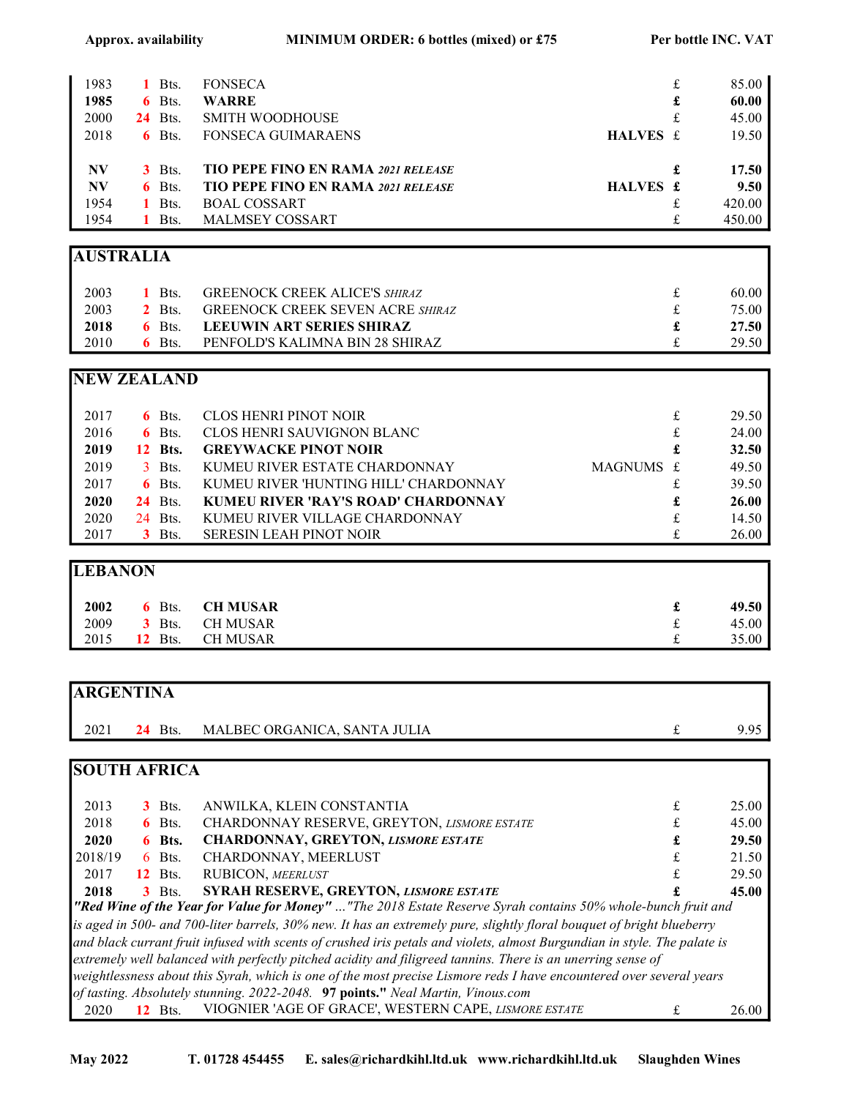| 1983      | Bts.           | <b>FONSECA</b>                            |          | £ | 85.00  |
|-----------|----------------|-------------------------------------------|----------|---|--------|
| 1985      | 6 Bts.         | <b>WARRE</b>                              |          | £ | 60.00  |
| 2000      | <b>24</b> Bts. | <b>SMITH WOODHOUSE</b>                    |          | £ | 45.00  |
| 2018      | $6$ Bts.       | <b>FONSECA GUIMARAENS</b>                 | HALVES £ |   | 19.50  |
|           |                |                                           |          |   |        |
| <b>NV</b> | $3$ Bts.       | <b>TIO PEPE FINO EN RAMA 2021 RELEASE</b> |          | £ | 17.50  |
| <b>NV</b> | $6$ Bts.       | <b>TIO PEPE FINO EN RAMA 2021 RELEASE</b> | HALVES £ |   | 9.50   |
| 1954      | Bts.           | <b>BOAL COSSART</b>                       |          | £ | 420.00 |
| 1954      | Bts.           | <b>MALMSEY COSSART</b>                    |          | £ | 450.00 |

## AUSTRALIA

| 2003 | 1 Bts.   | <b>GREENOCK CREEK ALICE'S SHIRAZ</b>    | 60.00 l |
|------|----------|-----------------------------------------|---------|
| 2003 |          | 2 Bts. GREENOCK CREEK SEVEN ACRE SHIRAZ | 75.00 l |
| 2018 |          | 6 Bts. LEEUWIN ART SERIES SHIRAZ        | 27.50 I |
| 2010 | $6$ Bts. | PENFOLD'S KALIMNA BIN 28 SHIRAZ         | 29.50 l |

#### NEW ZEALAND

| 2017 | $6$ Bts.       | CLOS HENRI PINOT NOIR                 |           | £ | 29.50 |
|------|----------------|---------------------------------------|-----------|---|-------|
| 2016 | $6$ Bts.       | CLOS HENRI SAUVIGNON BLANC            |           | £ | 24.00 |
| 2019 | <b>12 Bts.</b> | <b>GREYWACKE PINOT NOIR</b>           |           | £ | 32.50 |
| 2019 | 3 Bts.         | KUMEU RIVER ESTATE CHARDONNAY         | MAGNUMS £ |   | 49.50 |
| 2017 | $6$ Bts.       | KUMEU RIVER 'HUNTING HILL' CHARDONNAY |           |   | 39.50 |
| 2020 | <b>24</b> Bts. | KUMEU RIVER 'RAY'S ROAD' CHARDONNAY   |           | £ | 26.00 |
| 2020 | 24 Bts.        | KUMEU RIVER VILLAGE CHARDONNAY        |           |   | 14.50 |
| 2017 | $3$ Bts.       | <b>SERESIN LEAH PINOT NOIR</b>        |           |   | 26.00 |

# **LEBANON**

| 2002 |                | 6 Bts. CH MUSAR | 49.50 |
|------|----------------|-----------------|-------|
| 2009 |                | 3 Bts. CH MUSAR | 45.00 |
| 2015 | <b>12</b> Bts. | CH MUSAR        | 35.00 |

| <b>ARGENTINA</b> |                |                              |      |
|------------------|----------------|------------------------------|------|
| 2021             | <b>24</b> Bts. | MALBEC ORGANICA, SANTA JULIA | 9.95 |

## SOUTH AFRICA

| 2013                                                                                                                      |  | $3$ Bts.       | ANWILKA, KLEIN CONSTANTIA                                                                                            |  | 25.00 |
|---------------------------------------------------------------------------------------------------------------------------|--|----------------|----------------------------------------------------------------------------------------------------------------------|--|-------|
| 2018                                                                                                                      |  | $6$ Bts.       | CHARDONNAY RESERVE, GREYTON, LISMORE ESTATE                                                                          |  | 45.00 |
| 2020                                                                                                                      |  | 6 Bts.         | <b>CHARDONNAY, GREYTON, LISMORE ESTATE</b>                                                                           |  | 29.50 |
| 2018/19                                                                                                                   |  | $6$ Bts.       | CHARDONNAY, MEERLUST                                                                                                 |  | 21.50 |
| 2017                                                                                                                      |  | <b>12</b> Bts. | RUBICON, MEERLUST                                                                                                    |  | 29.50 |
| 2018                                                                                                                      |  | $3$ Bts.       | <b>SYRAH RESERVE, GREYTON, LISMORE ESTATE</b>                                                                        |  | 45.00 |
| "Red Wine of the Year for Value for Money" "The 2018 Estate Reserve Syrah contains 50% whole-bunch fruit and              |  |                |                                                                                                                      |  |       |
| is aged in 500- and 700-liter barrels, 30% new. It has an extremely pure, slightly floral bouquet of bright blueberry     |  |                |                                                                                                                      |  |       |
| and black currant fruit infused with scents of crushed iris petals and violets, almost Burgundian in style. The palate is |  |                |                                                                                                                      |  |       |
| extremely well balanced with perfectly pitched acidity and filigreed tannins. There is an unerring sense of               |  |                |                                                                                                                      |  |       |
|                                                                                                                           |  |                | weightlessness about this Syrah, which is one of the most precise Lismore reds I have encountered over several years |  |       |
|                                                                                                                           |  |                | of tasting. Absolutely stunning. 2022-2048. 97 points." Neal Martin, Vinous.com                                      |  |       |
| 2020                                                                                                                      |  | Bts.           | VIOGNIER 'AGE OF GRACE', WESTERN CAPE, LISMORE ESTATE                                                                |  | 26.00 |